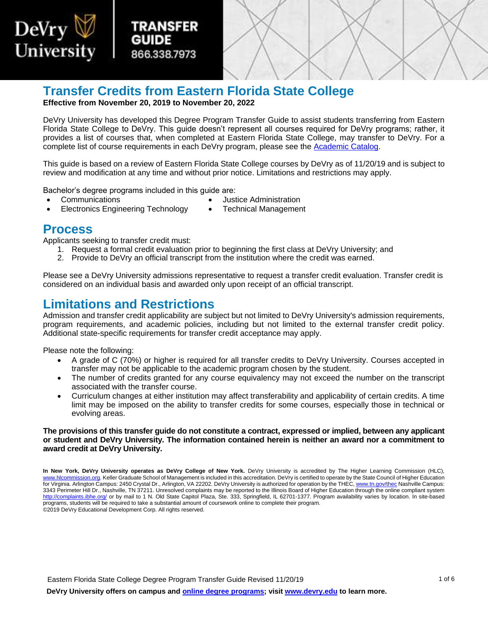

# **Transfer Credits from Eastern Florida State College**

 **Effective from November 20, 2019 to November 20, 2022** 

TRANSFER

866.338.7973

 DeVry University has developed this Degree Program Transfer Guide to assist students transferring from Eastern Florida State College to DeVry. This guide doesn't represent all courses required for DeVry programs; rather, it provides a list of courses that, when completed at Eastern Florida State College, may transfer to DeVry. For a complete list of course requirements in each DeVry program, please see the [Academic Catalog.](http://www.devry.edu/catalogs)

 This guide is based on a review of Eastern Florida State College courses by DeVry as of 11/20/19 and is subject to review and modification at any time and without prior notice. Limitations and restrictions may apply.

Bachelor's degree programs included in this guide are:

- 
- Communications Justice Administration
- Electronics Engineering Technology Technical Management
- 

### **Process**

Applicants seeking to transfer credit must:

- 1. Request a formal credit evaluation prior to beginning the first class at DeVry University; and
- 2. Provide to DeVry an official transcript from the institution where the credit was earned.

Please see a DeVry University admissions representative to request a transfer credit evaluation. Transfer credit is considered on an individual basis and awarded only upon receipt of an official transcript.

## **Limitations and Restrictions**

Admission and transfer credit applicability are subject but not limited to DeVry University's admission requirements, program requirements, and academic policies, including but not limited to the external transfer credit policy. Additional state-specific requirements for transfer credit acceptance may apply.

Please note the following:

- A grade of C (70%) or higher is required for all transfer credits to DeVry University. Courses accepted in transfer may not be applicable to the academic program chosen by the student.
- The number of credits granted for any course equivalency may not exceed the number on the transcript associated with the transfer course.
- limit may be imposed on the ability to transfer credits for some courses, especially those in technical or Curriculum changes at either institution may affect transferability and applicability of certain credits. A time evolving areas.

#### **The provisions of this transfer guide do not constitute a contract, expressed or implied, between any applicant or student and DeVry University. The information contained herein is neither an award nor a commitment to award credit at DeVry University.**

Eastern Florida State College Degree Program Transfer Guide Revised 11/20/19

**DeVry University offers on campus and [online degree programs;](https://www.devry.edu/online-programs.html) visi[t www.devry.edu](http://www.devry.edu/) to learn more.** 

 **In New York, DeVry University operates as DeVry College of New York.** DeVry University is accredited by The Higher Learning Commission (HLC), [www.hlcommission.org.](http://www.hlcommission.org/) Keller Graduate School of Management is included in this accreditation. DeVry is certified to operate by the State Council of Higher Education for Virginia. Arlington Campus: 2450 Crystal Dr., Arlington, VA 22202. DeVry University is authorized for operation by the THEC[, www.tn.gov/thec N](http://www.tn.gov/thec)ashville Campus: 3343 Perimeter Hill Dr., Nashville, TN 37211. Unresolved complaints may be reported to the Illinois Board of Higher Education through the online compliant system <http://complaints.ibhe.org/>or by mail to 1 N. Old State Capitol Plaza, Ste. 333, Springfield, IL 62701-1377. Program availability varies by location. In site-based programs, students will be required to take a substantial amount of coursework online to complete their program. ©2019 DeVry Educational Development Corp. All rights reserved.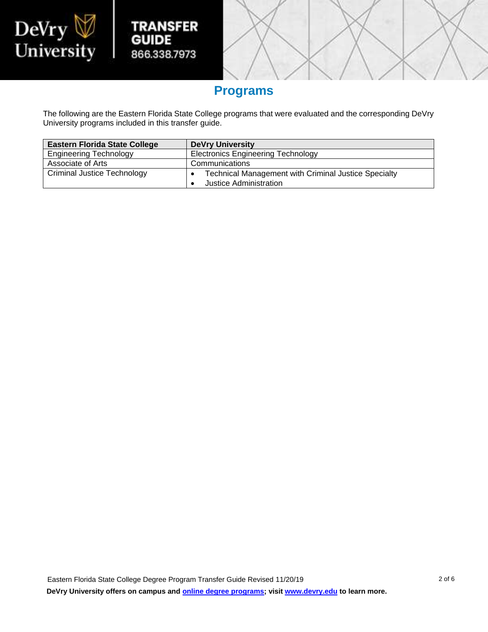

## **Programs**

**TRANSFER** 

866.338.7973

**GUIDE** 

I

 The following are the Eastern Florida State College programs that were evaluated and the corresponding DeVry University programs included in this transfer guide.

| <b>Eastern Florida State College</b> | <b>DeVry University</b>                                                               |
|--------------------------------------|---------------------------------------------------------------------------------------|
| <b>Engineering Technology</b>        | <b>Electronics Engineering Technology</b>                                             |
| Associate of Arts                    | Communications                                                                        |
| <b>Criminal Justice Technology</b>   | <b>Technical Management with Criminal Justice Specialty</b><br>Justice Administration |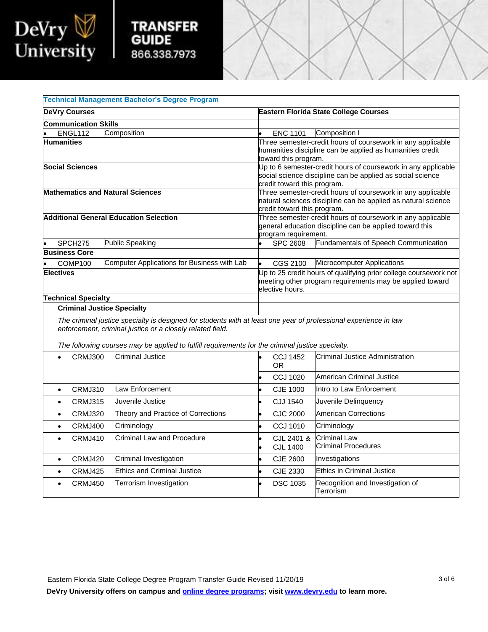

| <b>TRANSFER</b> |
|-----------------|
| <b>GUIDE</b>    |
| 866.338.7973    |

I

|                                         | <b>Technical Management Bachelor's Degree Program</b>                                                                                                                                                                                                                             |                                                                                                                                                             |                                               |  |  |
|-----------------------------------------|-----------------------------------------------------------------------------------------------------------------------------------------------------------------------------------------------------------------------------------------------------------------------------------|-------------------------------------------------------------------------------------------------------------------------------------------------------------|-----------------------------------------------|--|--|
| <b>DeVry Courses</b>                    |                                                                                                                                                                                                                                                                                   | <b>Eastern Florida State College Courses</b>                                                                                                                |                                               |  |  |
| <b>Communication Skills</b>             |                                                                                                                                                                                                                                                                                   |                                                                                                                                                             |                                               |  |  |
| ENGL112                                 | Composition                                                                                                                                                                                                                                                                       | <b>ENC 1101</b>                                                                                                                                             | Composition I                                 |  |  |
| <b>Humanities</b>                       |                                                                                                                                                                                                                                                                                   | Three semester-credit hours of coursework in any applicable<br>humanities discipline can be applied as humanities credit<br>toward this program.            |                                               |  |  |
| <b>Social Sciences</b>                  |                                                                                                                                                                                                                                                                                   | Up to 6 semester-credit hours of coursework in any applicable<br>social science discipline can be applied as social science<br>credit toward this program.  |                                               |  |  |
| <b>Mathematics and Natural Sciences</b> |                                                                                                                                                                                                                                                                                   | Three semester-credit hours of coursework in any applicable<br>natural sciences discipline can be applied as natural science<br>credit toward this program. |                                               |  |  |
|                                         | <b>Additional General Education Selection</b>                                                                                                                                                                                                                                     | Three semester-credit hours of coursework in any applicable<br>general education discipline can be applied toward this<br>program requirement.              |                                               |  |  |
| SPCH <sub>275</sub>                     | <b>Public Speaking</b>                                                                                                                                                                                                                                                            | <b>SPC 2608</b>                                                                                                                                             | Fundamentals of Speech Communication          |  |  |
| <b>Business Core</b>                    |                                                                                                                                                                                                                                                                                   |                                                                                                                                                             |                                               |  |  |
| COMP100                                 | Computer Applications for Business with Lab                                                                                                                                                                                                                                       | CGS 2100                                                                                                                                                    | Microcomputer Applications                    |  |  |
| <b>Electives</b>                        |                                                                                                                                                                                                                                                                                   | Up to 25 credit hours of qualifying prior college coursework not<br>meeting other program requirements may be applied toward<br>elective hours.             |                                               |  |  |
| <b>Technical Specialty</b>              |                                                                                                                                                                                                                                                                                   |                                                                                                                                                             |                                               |  |  |
| <b>Criminal Justice Specialty</b>       |                                                                                                                                                                                                                                                                                   |                                                                                                                                                             |                                               |  |  |
|                                         | The criminal justice specialty is designed for students with at least one year of professional experience in law<br>enforcement, criminal justice or a closely related field.<br>The following courses may be applied to fulfill requirements for the criminal justice specialty. |                                                                                                                                                             |                                               |  |  |
| CRMJ300                                 | <b>Criminal Justice</b>                                                                                                                                                                                                                                                           | <b>CCJ 1452</b>                                                                                                                                             | Criminal Justice Administration               |  |  |
| $\bullet$                               |                                                                                                                                                                                                                                                                                   | <b>OR</b>                                                                                                                                                   |                                               |  |  |
|                                         |                                                                                                                                                                                                                                                                                   | <b>CCJ 1020</b>                                                                                                                                             | American Criminal Justice                     |  |  |
| <b>CRMJ310</b><br>$\bullet$             | Law Enforcement                                                                                                                                                                                                                                                                   | CJE 1000<br>$\bullet$                                                                                                                                       | Intro to Law Enforcement                      |  |  |
| CRMJ315<br>$\bullet$                    | Juvenile Justice                                                                                                                                                                                                                                                                  | <b>CJJ 1540</b>                                                                                                                                             | Juvenile Delinquency                          |  |  |
| CRMJ320<br>$\bullet$                    | Theory and Practice of Corrections                                                                                                                                                                                                                                                | <b>CJC 2000</b>                                                                                                                                             | <b>American Corrections</b>                   |  |  |
| CRMJ400<br>$\bullet$                    | Criminology                                                                                                                                                                                                                                                                       | CCJ 1010                                                                                                                                                    | Criminology                                   |  |  |
| <b>CRMJ410</b><br>$\bullet$             | <b>Criminal Law and Procedure</b>                                                                                                                                                                                                                                                 | CJL 2401 &<br><b>CJL 1400</b>                                                                                                                               | Criminal Law<br>Criminal Procedures           |  |  |
| CRMJ420<br>$\bullet$                    | Criminal Investigation                                                                                                                                                                                                                                                            | <b>CJE 2600</b>                                                                                                                                             | Investigations                                |  |  |
| CRMJ425<br>$\bullet$                    | <b>Ethics and Criminal Justice</b>                                                                                                                                                                                                                                                | CJE 2330                                                                                                                                                    | <b>Ethics in Criminal Justice</b>             |  |  |
| CRMJ450<br>$\bullet$                    | Terrorism Investigation                                                                                                                                                                                                                                                           | <b>DSC 1035</b>                                                                                                                                             | Recognition and Investigation of<br>Terrorism |  |  |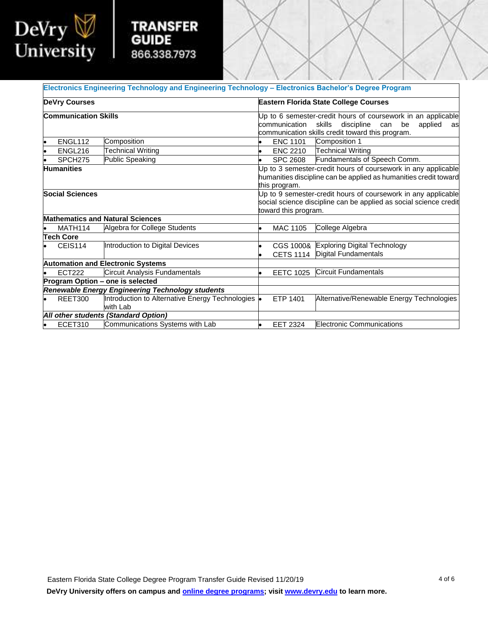

|  | <b>TRANSFER</b> |  |  |
|--|-----------------|--|--|
|  | GUIDE           |  |  |
|  | 866.338.7973    |  |  |

I

|                                                     |                     | Electronics Engineering Technology and Engineering Technology - Electronics Bachelor's Degree Program                                                                                                                             |   |                               |                                                                    |
|-----------------------------------------------------|---------------------|-----------------------------------------------------------------------------------------------------------------------------------------------------------------------------------------------------------------------------------|---|-------------------------------|--------------------------------------------------------------------|
| <b>DeVry Courses</b><br><b>Communication Skills</b> |                     | <b>Eastern Florida State College Courses</b><br>Up to 6 semester-credit hours of coursework in an applicable<br>communication skills<br>discipline<br>can be<br>applied<br>as<br>communication skills credit toward this program. |   |                               |                                                                    |
|                                                     |                     |                                                                                                                                                                                                                                   |   |                               |                                                                    |
|                                                     | ENGL216             | <b>Technical Writing</b>                                                                                                                                                                                                          |   |                               | ENC 2210   Technical Writing                                       |
|                                                     | SPCH <sub>275</sub> | Public Speaking                                                                                                                                                                                                                   |   | <b>SPC 2608</b>               | Fundamentals of Speech Comm.                                       |
| <b>Humanities</b>                                   |                     | Up to 3 semester-credit hours of coursework in any applicable<br>humanities discipline can be applied as humanities credit toward<br>this program.                                                                                |   |                               |                                                                    |
| <b>Social Sciences</b>                              |                     | Up to 9 semester-credit hours of coursework in any applicable<br>social science discipline can be applied as social science credit<br>toward this program.                                                                        |   |                               |                                                                    |
|                                                     |                     | <b>Mathematics and Natural Sciences</b>                                                                                                                                                                                           |   |                               |                                                                    |
|                                                     | MATH114             | Algebra for College Students                                                                                                                                                                                                      | ۰ | <b>MAC 1105</b>               | College Algebra                                                    |
|                                                     | Tech Core           |                                                                                                                                                                                                                                   |   |                               |                                                                    |
|                                                     | CEIS114             | Introduction to Digital Devices                                                                                                                                                                                                   |   | CGS 1000&<br><b>CETS 1114</b> | <b>Exploring Digital Technology</b><br><b>Digital Fundamentals</b> |
|                                                     |                     | <b>Automation and Electronic Systems</b>                                                                                                                                                                                          |   |                               |                                                                    |
|                                                     | <b>ECT222</b>       | Circuit Analysis Fundamentals                                                                                                                                                                                                     |   | <b>EETC 1025</b>              | <b>Circuit Fundamentals</b>                                        |
|                                                     |                     | Program Option - one is selected                                                                                                                                                                                                  |   |                               |                                                                    |
|                                                     |                     | Renewable Energy Engineering Technology students                                                                                                                                                                                  |   |                               |                                                                    |
|                                                     | REET300             | Introduction to Alternative Energy Technologies .<br>with Lab                                                                                                                                                                     |   | ETP 1401                      | Alternative/Renewable Energy Technologies                          |
|                                                     |                     | All other students (Standard Option)                                                                                                                                                                                              |   |                               |                                                                    |
|                                                     | ECET310             | Communications Systems with Lab                                                                                                                                                                                                   |   | <b>EET 2324</b>               | <b>Electronic Communications</b>                                   |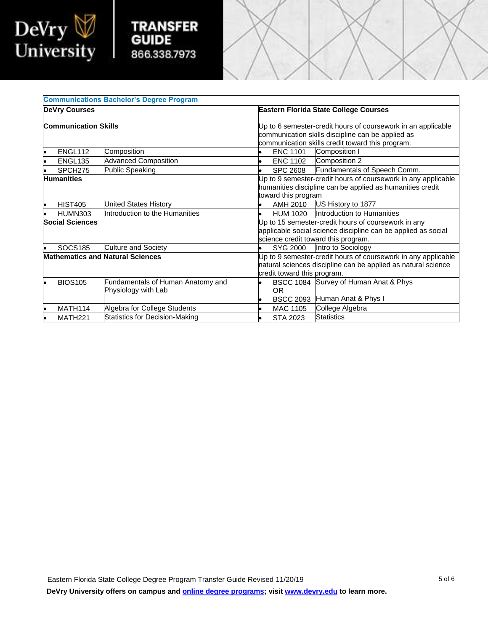

## **TRANSFE GUIDE** 866.338.797

I

|                                         |                             | <b>Communications Bachelor's Degree Program</b>                                                                                                               |                                                                                                                                                                       |                              |
|-----------------------------------------|-----------------------------|---------------------------------------------------------------------------------------------------------------------------------------------------------------|-----------------------------------------------------------------------------------------------------------------------------------------------------------------------|------------------------------|
|                                         | <b>DeVry Courses</b>        |                                                                                                                                                               | <b>Eastern Florida State College Courses</b>                                                                                                                          |                              |
|                                         | <b>Communication Skills</b> |                                                                                                                                                               | Up to 6 semester-credit hours of coursework in an applicable<br>communication skills discipline can be applied as<br>communication skills credit toward this program. |                              |
|                                         | ENGL112                     | Composition                                                                                                                                                   | Composition I<br><b>ENC 1101</b>                                                                                                                                      |                              |
|                                         | ENGL <sub>135</sub>         | <b>Advanced Composition</b>                                                                                                                                   | Composition 2<br><b>ENC 1102</b>                                                                                                                                      |                              |
|                                         | SPCH <sub>275</sub>         | Public Speaking                                                                                                                                               | <b>SPC 2608</b>                                                                                                                                                       | Fundamentals of Speech Comm. |
|                                         | <b>Humanities</b>           |                                                                                                                                                               | Up to 9 semester-credit hours of coursework in any applicable<br>humanities discipline can be applied as humanities credit<br>toward this program                     |                              |
|                                         | <b>HIST405</b>              | United States History                                                                                                                                         | US History to 1877<br>AMH 2010                                                                                                                                        |                              |
|                                         | <b>HUMN303</b>              | Introduction to the Humanities                                                                                                                                | Introduction to Humanities<br><b>HUM 1020</b>                                                                                                                         |                              |
| <b>Social Sciences</b>                  |                             | Up to 15 semester-credit hours of coursework in any<br>applicable social science discipline can be applied as social<br>science credit toward this program.   |                                                                                                                                                                       |                              |
|                                         | <b>SOCS185</b>              | Culture and Society                                                                                                                                           | Intro to Sociology<br>SYG 2000                                                                                                                                        |                              |
| <b>Mathematics and Natural Sciences</b> |                             | Up to 9 semester-credit hours of coursework in any applicable<br>natural sciences discipline can be applied as natural science<br>credit toward this program. |                                                                                                                                                                       |                              |
|                                         | <b>BIOS105</b>              | Fundamentals of Human Anatomy and<br>Physiology with Lab                                                                                                      | BSCC 1084 Survey of Human Anat & Phys<br><b>OR</b><br>Human Anat & Phys I<br><b>BSCC 2093</b>                                                                         |                              |
|                                         | MATH114                     | Algebra for College Students                                                                                                                                  | College Algebra<br><b>MAC 1105</b>                                                                                                                                    |                              |
|                                         | MATH <sub>221</sub>         | <b>Statistics for Decision-Making</b>                                                                                                                         | <b>Statistics</b><br>STA 2023                                                                                                                                         |                              |